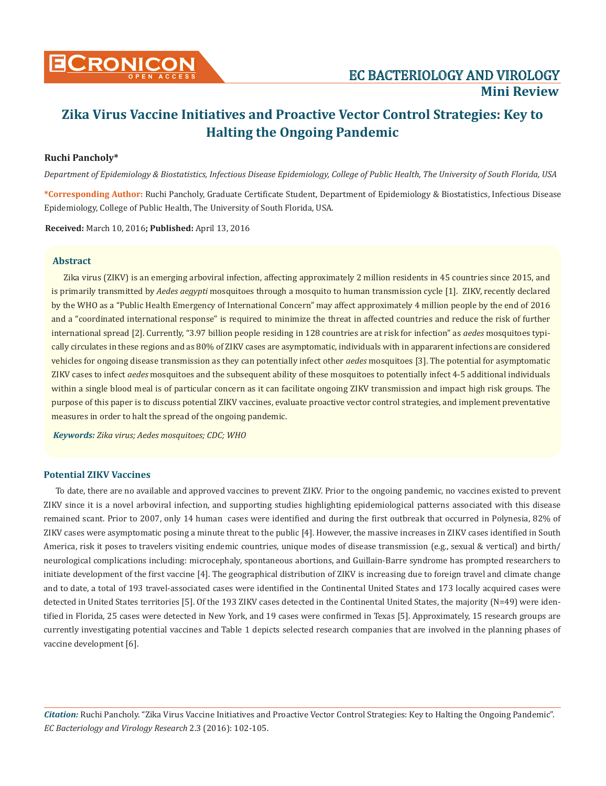

# **Zika Virus Vaccine Initiatives and Proactive Vector Control Strategies: Key to Halting the Ongoing Pandemic**

# **Ruchi Pancholy\***

*Department of Epidemiology & Biostatistics, Infectious Disease Epidemiology, College of Public Health, The University of South Florida, USA*

**\*Corresponding Author:** Ruchi Pancholy, Graduate Certificate Student, Department of Epidemiology & Biostatistics, Infectious Disease Epidemiology, College of Public Health, The University of South Florida, USA.

**Received:** March 10, 2016**; Published:** April 13, 2016

# **Abstract**

Zika virus (ZIKV) is an emerging arboviral infection, affecting approximately 2 million residents in 45 countries since 2015, and is primarily transmitted by *Aedes aegypti* mosquitoes through a mosquito to human transmission cycle [1]. ZIKV, recently declared by the WHO as a "Public Health Emergency of International Concern" may affect approximately 4 million people by the end of 2016 and a "coordinated international response" is required to minimize the threat in affected countries and reduce the risk of further international spread [2]. Currently, "3.97 billion people residing in 128 countries are at risk for infection" as *aedes* mosquitoes typically circulates in these regions and as 80% of ZIKV cases are asymptomatic, individuals with in appararent infections are considered vehicles for ongoing disease transmission as they can potentially infect other *aedes* mosquitoes [3]. The potential for asymptomatic ZIKV cases to infect *aedes* mosquitoes and the subsequent ability of these mosquitoes to potentially infect 4-5 additional individuals within a single blood meal is of particular concern as it can facilitate ongoing ZIKV transmission and impact high risk groups. The purpose of this paper is to discuss potential ZIKV vaccines, evaluate proactive vector control strategies, and implement preventative measures in order to halt the spread of the ongoing pandemic.

*Keywords: Zika virus; Aedes mosquitoes; CDC; WHO*

## **Potential ZIKV Vaccines**

To date, there are no available and approved vaccines to prevent ZIKV. Prior to the ongoing pandemic, no vaccines existed to prevent ZIKV since it is a novel arboviral infection, and supporting studies highlighting epidemiological patterns associated with this disease remained scant. Prior to 2007, only 14 human cases were identified and during the first outbreak that occurred in Polynesia, 82% of ZIKV cases were asymptomatic posing a minute threat to the public [4]. However, the massive increases in ZIKV cases identified in South America, risk it poses to travelers visiting endemic countries, unique modes of disease transmission (e.g., sexual & vertical) and birth/ neurological complications including: microcephaly, spontaneous abortions, and Guillain-Barre syndrome has prompted researchers to initiate development of the first vaccine [4]. The geographical distribution of ZIKV is increasing due to foreign travel and climate change and to date, a total of 193 travel-associated cases were identified in the Continental United States and 173 locally acquired cases were detected in United States territories [5]. Of the 193 ZIKV cases detected in the Continental United States, the majority (N=49) were identified in Florida, 25 cases were detected in New York, and 19 cases were confirmed in Texas [5]. Approximately, 15 research groups are currently investigating potential vaccines and Table 1 depicts selected research companies that are involved in the planning phases of vaccine development [6].

*Citation:* Ruchi Pancholy. "Zika Virus Vaccine Initiatives and Proactive Vector Control Strategies: Key to Halting the Ongoing Pandemic". *EC Bacteriology and Virology Research* 2.3 (2016): 102-105.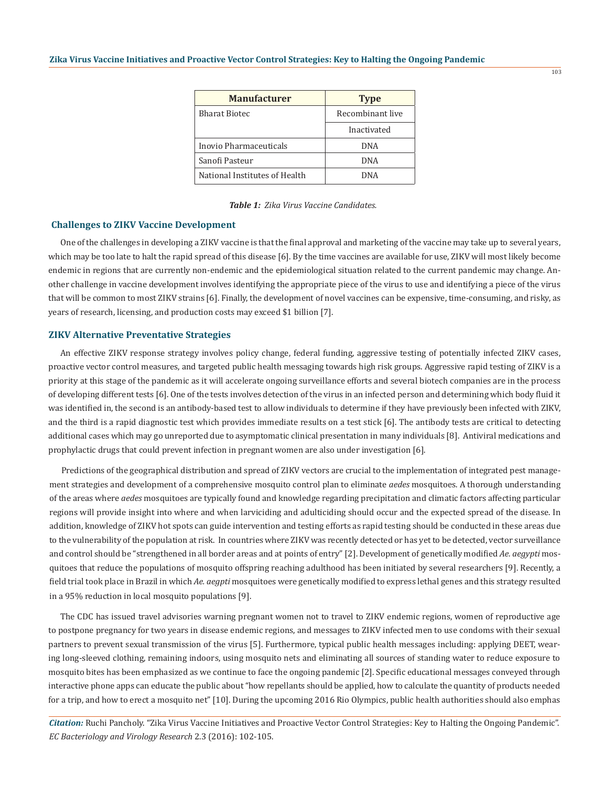| <b>Manufacturer</b>           | <b>Type</b>      |  |
|-------------------------------|------------------|--|
| <b>Bharat Biotec</b>          | Recombinant live |  |
|                               | Inactivated      |  |
| Inovio Pharmaceuticals        | DNA              |  |
| Sanofi Pasteur                | DNA              |  |
| National Institutes of Health | DNA              |  |

| <b>Table 1:</b> Zika Virus Vaccine Candidates. |  |  |  |
|------------------------------------------------|--|--|--|
|------------------------------------------------|--|--|--|

#### **Challenges to ZIKV Vaccine Development**

One of the challenges in developing a ZIKV vaccine is that the final approval and marketing of the vaccine may take up to several years, which may be too late to halt the rapid spread of this disease [6]. By the time vaccines are available for use, ZIKV will most likely become endemic in regions that are currently non-endemic and the epidemiological situation related to the current pandemic may change. Another challenge in vaccine development involves identifying the appropriate piece of the virus to use and identifying a piece of the virus that will be common to most ZIKV strains [6]. Finally, the development of novel vaccines can be expensive, time-consuming, and risky, as years of research, licensing, and production costs may exceed \$1 billion [7].

#### **ZIKV Alternative Preventative Strategies**

An effective ZIKV response strategy involves policy change, federal funding, aggressive testing of potentially infected ZIKV cases, proactive vector control measures, and targeted public health messaging towards high risk groups. Aggressive rapid testing of ZIKV is a priority at this stage of the pandemic as it will accelerate ongoing surveillance efforts and several biotech companies are in the process of developing different tests [6]. One of the tests involves detection of the virus in an infected person and determining which body fluid it was identified in, the second is an antibody-based test to allow individuals to determine if they have previously been infected with ZIKV, and the third is a rapid diagnostic test which provides immediate results on a test stick [6]. The antibody tests are critical to detecting additional cases which may go unreported due to asymptomatic clinical presentation in many individuals [8]. Antiviral medications and prophylactic drugs that could prevent infection in pregnant women are also under investigation [6].

Predictions of the geographical distribution and spread of ZIKV vectors are crucial to the implementation of integrated pest management strategies and development of a comprehensive mosquito control plan to eliminate *aedes* mosquitoes. A thorough understanding of the areas where *aedes* mosquitoes are typically found and knowledge regarding precipitation and climatic factors affecting particular regions will provide insight into where and when larviciding and adulticiding should occur and the expected spread of the disease. In addition, knowledge of ZIKV hot spots can guide intervention and testing efforts as rapid testing should be conducted in these areas due to the vulnerability of the population at risk. In countries where ZIKV was recently detected or has yet to be detected, vector surveillance and control should be "strengthened in all border areas and at points of entry" [2]. Development of genetically modified *Ae. aegypti* mosquitoes that reduce the populations of mosquito offspring reaching adulthood has been initiated by several researchers [9]. Recently, a field trial took place in Brazil in which *Ae. aegpti* mosquitoes were genetically modified to express lethal genes and this strategy resulted in a 95% reduction in local mosquito populations [9].

The CDC has issued travel advisories warning pregnant women not to travel to ZIKV endemic regions, women of reproductive age to postpone pregnancy for two years in disease endemic regions, and messages to ZIKV infected men to use condoms with their sexual partners to prevent sexual transmission of the virus [5]. Furthermore, typical public health messages including: applying DEET, wearing long-sleeved clothing, remaining indoors, using mosquito nets and eliminating all sources of standing water to reduce exposure to mosquito bites has been emphasized as we continue to face the ongoing pandemic [2]. Specific educational messages conveyed through interactive phone apps can educate the public about "how repellants should be applied, how to calculate the quantity of products needed for a trip, and how to erect a mosquito net" [10]. During the upcoming 2016 Rio Olympics, public health authorities should also emphas

*Citation:* Ruchi Pancholy. "Zika Virus Vaccine Initiatives and Proactive Vector Control Strategies: Key to Halting the Ongoing Pandemic". *EC Bacteriology and Virology Research* 2.3 (2016): 102-105.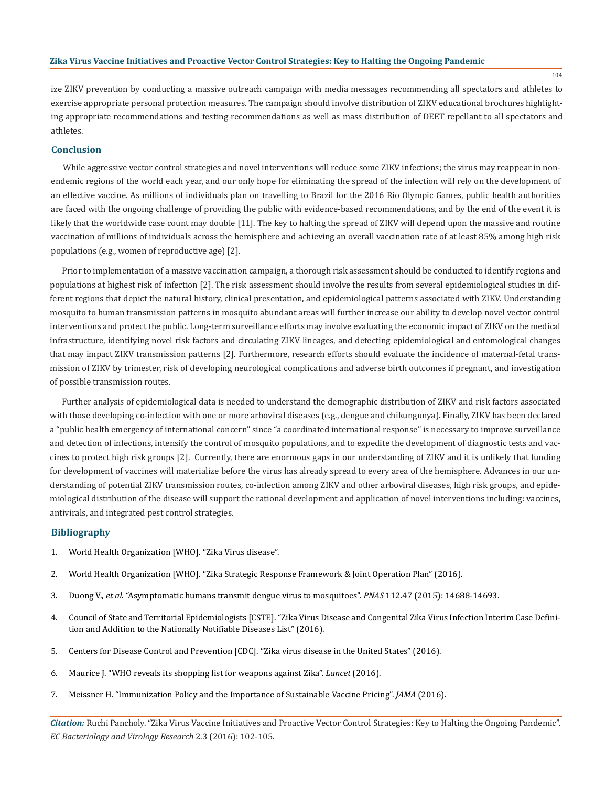### **Zika Virus Vaccine Initiatives and Proactive Vector Control Strategies: Key to Halting the Ongoing Pandemic**

ize ZIKV prevention by conducting a massive outreach campaign with media messages recommending all spectators and athletes to exercise appropriate personal protection measures. The campaign should involve distribution of ZIKV educational brochures highlighting appropriate recommendations and testing recommendations as well as mass distribution of DEET repellant to all spectators and athletes.

#### **Conclusion**

While aggressive vector control strategies and novel interventions will reduce some ZIKV infections; the virus may reappear in nonendemic regions of the world each year, and our only hope for eliminating the spread of the infection will rely on the development of an effective vaccine. As millions of individuals plan on travelling to Brazil for the 2016 Rio Olympic Games, public health authorities are faced with the ongoing challenge of providing the public with evidence-based recommendations, and by the end of the event it is likely that the worldwide case count may double [11]. The key to halting the spread of ZIKV will depend upon the massive and routine vaccination of millions of individuals across the hemisphere and achieving an overall vaccination rate of at least 85% among high risk populations (e.g., women of reproductive age) [2].

Prior to implementation of a massive vaccination campaign, a thorough risk assessment should be conducted to identify regions and populations at highest risk of infection [2]. The risk assessment should involve the results from several epidemiological studies in different regions that depict the natural history, clinical presentation, and epidemiological patterns associated with ZIKV. Understanding mosquito to human transmission patterns in mosquito abundant areas will further increase our ability to develop novel vector control interventions and protect the public. Long-term surveillance efforts may involve evaluating the economic impact of ZIKV on the medical infrastructure, identifying novel risk factors and circulating ZIKV lineages, and detecting epidemiological and entomological changes that may impact ZIKV transmission patterns [2]. Furthermore, research efforts should evaluate the incidence of maternal-fetal transmission of ZIKV by trimester, risk of developing neurological complications and adverse birth outcomes if pregnant, and investigation of possible transmission routes.

Further analysis of epidemiological data is needed to understand the demographic distribution of ZIKV and risk factors associated with those developing co-infection with one or more arboviral diseases (e.g., dengue and chikungunya). Finally, ZIKV has been declared a "public health emergency of international concern" since "a coordinated international response" is necessary to improve surveillance and detection of infections, intensify the control of mosquito populations, and to expedite the development of diagnostic tests and vaccines to protect high risk groups [2]. Currently, there are enormous gaps in our understanding of ZIKV and it is unlikely that funding for development of vaccines will materialize before the virus has already spread to every area of the hemisphere. Advances in our understanding of potential ZIKV transmission routes, co-infection among ZIKV and other arboviral diseases, high risk groups, and epidemiological distribution of the disease will support the rational development and application of novel interventions including: vaccines, antivirals, and integrated pest control strategies.

# **Bibliography**

- 1. World Health Organization [WHO]. "Zika Virus disease".
- 2. World Health Organization [WHO]. "Zika Strategic Response Framework & Joint Operation Plan" (2016).
- 3. Duong V., *et al*. "Asymptomatic humans transmit dengue virus to mosquitoes". *PNAS* 112.47 (2015): 14688-14693.
- 4. Council of State and Territorial Epidemiologists [CSTE]. "Zika Virus Disease and Congenital Zika Virus Infection Interim Case Definition and Addition to the Nationally Notifiable Diseases List" (2016).
- 5. Centers for Disease Control and Prevention [CDC]. "Zika virus disease in the United States" (2016).
- 6. Maurice J. "WHO reveals its shopping list for weapons against Zika". *Lancet* (2016).
- 7. Meissner H. "Immunization Policy and the Importance of Sustainable Vaccine Pricing". *JAMA* (2016).

*Citation:* Ruchi Pancholy. "Zika Virus Vaccine Initiatives and Proactive Vector Control Strategies: Key to Halting the Ongoing Pandemic". *EC Bacteriology and Virology Research* 2.3 (2016): 102-105.

104